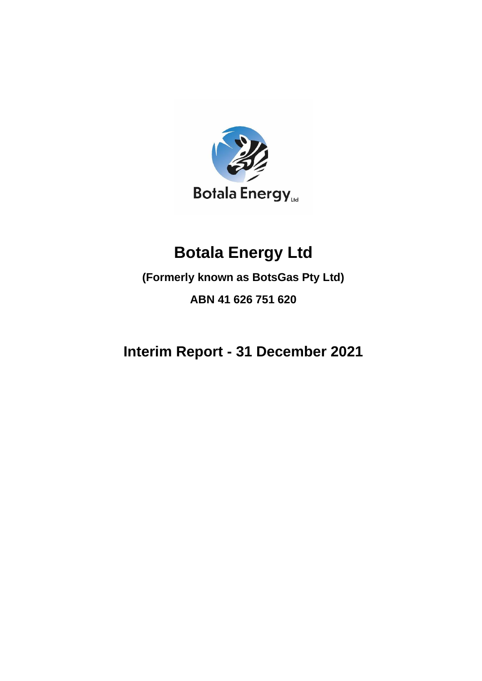

# **Botala Energy Ltd**

**(Formerly known as BotsGas Pty Ltd)**

**ABN 41 626 751 620**

**Interim Report - 31 December 2021**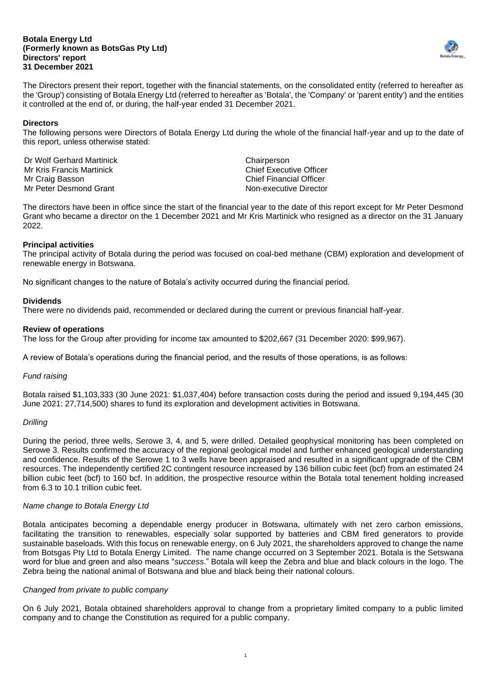#### **Botala Energy Ltd (Formerly known as BotsGas Pty Ltd) Directors' report 31 December 2021**



The Directors present their report, together with the financial statements, on the consolidated entity (referred to hereafter as the 'Group') consisting of Botala Energy Ltd (referred to hereafter as 'Botala', the 'Company' or 'parent entity') and the entities it controlled at the end of, or during, the half-year ended 31 December 2021.

### **Directors**

The following persons were Directors of Botala Energy Ltd during the whole of the financial half-year and up to the date of this report, unless otherwise stated:

Dr Wolf Gerhard Martinick Chairperson Mr Kris Francis Martinick Chief Executive Officer Mr Craig Basson Chief Financial Officer Mr Peter Desmond Grant Non-executive Director

The directors have been in office since the start of the financial year to the date of this report except for Mr Peter Desmond Grant who became a director on the 1 December 2021 and Mr Kris Martinick who resigned as a director on the 31 January 2022.

# **Principal activities**

The principal activity of Botala during the period was focused on coal-bed methane (CBM) exploration and development of renewable energy in Botswana.

No significant changes to the nature of Botala's activity occurred during the financial period.

# **Dividends**

There were no dividends paid, recommended or declared during the current or previous financial half-year.

#### **Review of operations**

The loss for the Group after providing for income tax amounted to \$202,667 (31 December 2020: \$99,967).

A review of Botala's operations during the financial period, and the results of those operations, is as follows:

#### *Fund raising*

Botala raised \$1,103,333 (30 June 2021: \$1,037,404) before transaction costs during the period and issued 9,194,445 (30 June 2021: 27,714,500) shares to fund its exploration and development activities in Botswana.

### *Drilling*

During the period, three wells, Serowe 3, 4, and 5, were drilled. Detailed geophysical monitoring has been completed on Serowe 3. Results confirmed the accuracy of the regional geological model and further enhanced geological understanding and confidence. Results of the Serowe 1 to 3 wells have been appraised and resulted in a significant upgrade of the CBM resources. The independently certified 2C contingent resource increased by 136 billion cubic feet (bcf) from an estimated 24 billion cubic feet (bcf) to 160 bcf. In addition, the prospective resource within the Botala total tenement holding increased from 6.3 to 10.1 trillion cubic feet.

#### *Name change to Botala Energy Ltd*

Botala anticipates becoming a dependable energy producer in Botswana, ultimately with net zero carbon emissions, facilitating the transition to renewables, especially solar supported by batteries and CBM fired generators to provide sustainable baseloads. With this focus on renewable energy, on 6 July 2021, the shareholders approved to change the name from Botsgas Pty Ltd to Botala Energy Limited. The name change occurred on 3 September 2021. Botala is the Setswana word for blue and green and also means "*success*." Botala will keep the Zebra and blue and black colours in the logo. The Zebra being the national animal of Botswana and blue and black being their national colours.

#### *Changed from private to public company*

On 6 July 2021, Botala obtained shareholders approval to change from a proprietary limited company to a public limited company and to change the Constitution as required for a public company.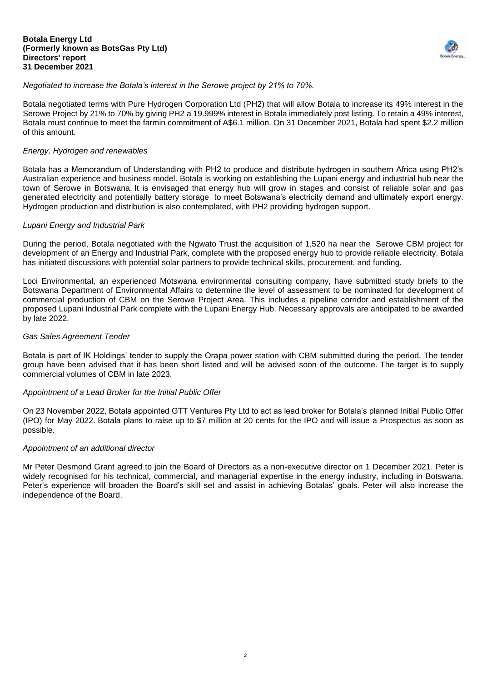#### **Botala Energy Ltd (Formerly known as BotsGas Pty Ltd) Directors' report 31 December 2021**



# *Negotiated to increase the Botala's interest in the Serowe project by 21% to 70%.*

Botala negotiated terms with Pure Hydrogen Corporation Ltd (PH2) that will allow Botala to increase its 49% interest in the Serowe Project by 21% to 70% by giving PH2 a 19.999% interest in Botala immediately post listing. To retain a 49% interest, Botala must continue to meet the farmin commitment of A\$6.1 million. On 31 December 2021, Botala had spent \$2.2 million of this amount.

#### *Energy, Hydrogen and renewables*

Botala has a Memorandum of Understanding with PH2 to produce and distribute hydrogen in southern Africa using PH2's Australian experience and business model. Botala is working on establishing the Lupani energy and industrial hub near the town of Serowe in Botswana. It is envisaged that energy hub will grow in stages and consist of reliable solar and gas generated electricity and potentially battery storage to meet Botswana's electricity demand and ultimately export energy. Hydrogen production and distribution is also contemplated, with PH2 providing hydrogen support.

#### *Lupani Energy and Industrial Park*

During the period, Botala negotiated with the Ngwato Trust the acquisition of 1,520 ha near the Serowe CBM project for development of an Energy and Industrial Park, complete with the proposed energy hub to provide reliable electricity. Botala has initiated discussions with potential solar partners to provide technical skills, procurement, and funding.

Loci Environmental, an experienced Motswana environmental consulting company, have submitted study briefs to the Botswana Department of Environmental Affairs to determine the level of assessment to be nominated for development of commercial production of CBM on the Serowe Project Area. This includes a pipeline corridor and establishment of the proposed Lupani Industrial Park complete with the Lupani Energy Hub. Necessary approvals are anticipated to be awarded by late 2022.

#### *Gas Sales Agreement Tender*

Botala is part of IK Holdings' tender to supply the Orapa power station with CBM submitted during the period. The tender group have been advised that it has been short listed and will be advised soon of the outcome. The target is to supply commercial volumes of CBM in late 2023.

#### *Appointment of a Lead Broker for the Initial Public Offer*

On 23 November 2022, Botala appointed GTT Ventures Pty Ltd to act as lead broker for Botala's planned Initial Public Offer (IPO) for May 2022. Botala plans to raise up to \$7 million at 20 cents for the IPO and will issue a Prospectus as soon as possible.

#### *Appointment of an additional director*

Mr Peter Desmond Grant agreed to join the Board of Directors as a non-executive director on 1 December 2021. Peter is widely recognised for his technical, commercial, and managerial expertise in the energy industry, including in Botswana. Peter's experience will broaden the Board's skill set and assist in achieving Botalas' goals. Peter will also increase the independence of the Board.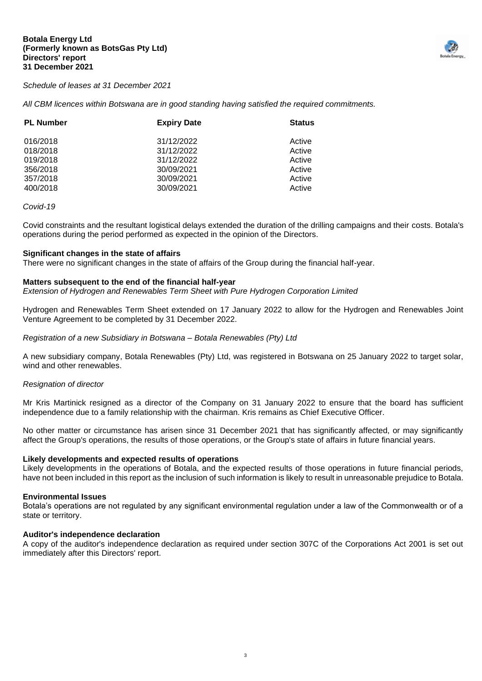

#### *Schedule of leases at 31 December 2021*

*All CBM licences within Botswana are in good standing having satisfied the required commitments.*

| <b>PL Number</b> | <b>Expiry Date</b> | <b>Status</b> |
|------------------|--------------------|---------------|
| 016/2018         | 31/12/2022         | Active        |
| 018/2018         | 31/12/2022         | Active        |
| 019/2018         | 31/12/2022         | Active        |
| 356/2018         | 30/09/2021         | Active        |
| 357/2018         | 30/09/2021         | Active        |
| 400/2018         | 30/09/2021         | Active        |

#### *Covid-19*

Covid constraints and the resultant logistical delays extended the duration of the drilling campaigns and their costs. Botala's operations during the period performed as expected in the opinion of the Directors.

#### **Significant changes in the state of affairs**

There were no significant changes in the state of affairs of the Group during the financial half-year.

#### **Matters subsequent to the end of the financial half-year**

*Extension of Hydrogen and Renewables Term Sheet with Pure Hydrogen Corporation Limited*

Hydrogen and Renewables Term Sheet extended on 17 January 2022 to allow for the Hydrogen and Renewables Joint Venture Agreement to be completed by 31 December 2022.

*Registration of a new Subsidiary in Botswana – Botala Renewables (Pty) Ltd*

A new subsidiary company, Botala Renewables (Pty) Ltd, was registered in Botswana on 25 January 2022 to target solar, wind and other renewables.

#### *Resignation of director*

Mr Kris Martinick resigned as a director of the Company on 31 January 2022 to ensure that the board has sufficient independence due to a family relationship with the chairman. Kris remains as Chief Executive Officer.

No other matter or circumstance has arisen since 31 December 2021 that has significantly affected, or may significantly affect the Group's operations, the results of those operations, or the Group's state of affairs in future financial years.

#### **Likely developments and expected results of operations**

Likely developments in the operations of Botala, and the expected results of those operations in future financial periods, have not been included in this report as the inclusion of such information is likely to result in unreasonable prejudice to Botala.

#### **Environmental Issues**

Botala's operations are not regulated by any significant environmental regulation under a law of the Commonwealth or of a state or territory.

#### **Auditor's independence declaration**

A copy of the auditor's independence declaration as required under section 307C of the Corporations Act 2001 is set out immediately after this Directors' report.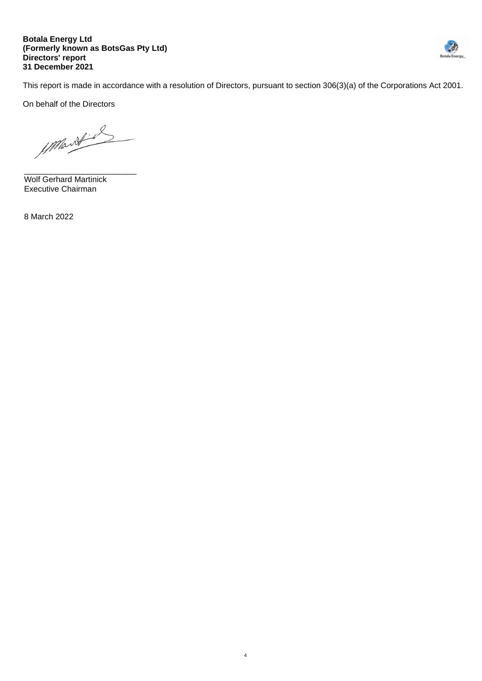#### **Botala Energy Ltd (Formerly known as BotsGas Pty Ltd) Directors' report 31 December 2021**



This report is made in accordance with a resolution of Directors, pursuant to section 306(3)(a) of the Corporations Act 2001.

4

On behalf of the Directors

Mont

\_\_\_\_\_\_\_\_\_\_\_\_\_\_\_\_\_\_\_\_\_\_\_\_\_ Wolf Gerhard Martinick Executive Chairman

8 March 2022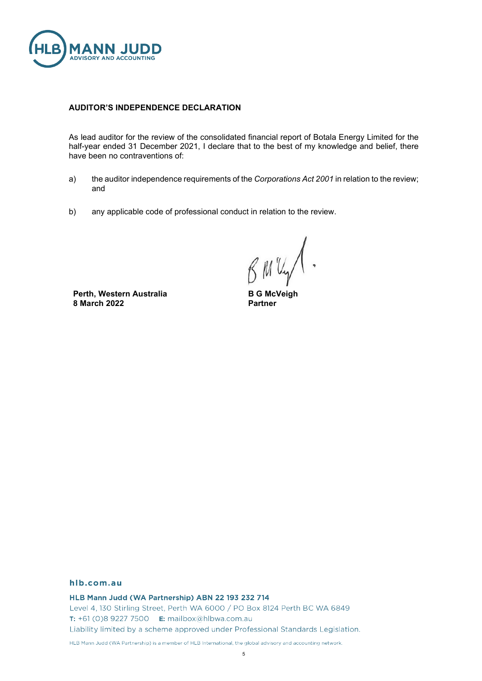

#### **AUDITOR'S INDEPENDENCE DECLARATION**

As lead auditor for the review of the consolidated financial report of Botala Energy Limited for the half-year ended 31 December 2021, I declare that to the best of my knowledge and belief, there have been no contraventions of:

- a) the auditor independence requirements of the *Corporations Act 2001* in relation to the review; and
- b) any applicable code of professional conduct in relation to the review.

BMV

**Perth, Western Australia 8 March 2022**

**B G McVeigh Partner**

#### hlb.com.au

HLB Mann Judd (WA Partnership) ABN 22 193 232 714

Level 4, 130 Stirling Street, Perth WA 6000 / PO Box 8124 Perth BC WA 6849 T: +61 (0)8 9227 7500 E: mailbox@hlbwa.com.au Liability limited by a scheme approved under Professional Standards Legislation.

HLB Mann Judd (WA Partnership) is a member of HLB International, the global advisory and accounting network.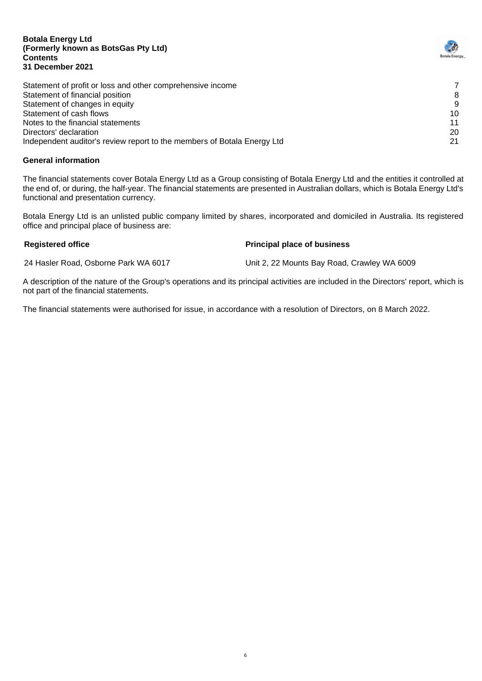#### **Botala Energy Ltd (Formerly known as BotsGas Pty Ltd) Contents 31 December 2021**

| Statement of profit or loss and other comprehensive income              |    |
|-------------------------------------------------------------------------|----|
| Statement of financial position                                         | 8  |
| Statement of changes in equity                                          | g  |
| Statement of cash flows                                                 | 10 |
| Notes to the financial statements                                       | 11 |
| Directors' declaration                                                  | 20 |
| Independent auditor's review report to the members of Botala Energy Ltd | 21 |

# **General information**

The financial statements cover Botala Energy Ltd as a Group consisting of Botala Energy Ltd and the entities it controlled at the end of, or during, the half-year. The financial statements are presented in Australian dollars, which is Botala Energy Ltd's functional and presentation currency.

Botala Energy Ltd is an unlisted public company limited by shares, incorporated and domiciled in Australia. Its registered office and principal place of business are:

# **Registered office Principal place of business**

24 Hasler Road, Osborne Park WA 6017 Unit 2, 22 Mounts Bay Road, Crawley WA 6009

A description of the nature of the Group's operations and its principal activities are included in the Directors' report, which is not part of the financial statements.

The financial statements were authorised for issue, in accordance with a resolution of Directors, on 8 March 2022.

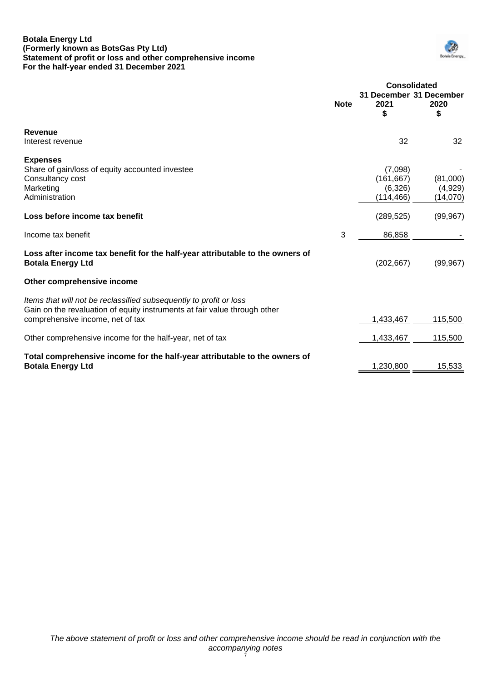#### **Botala Energy Ltd (Formerly known as BotsGas Pty Ltd) Statement of profit or loss and other comprehensive income For the half-year ended 31 December 2021**



|                                                                                                                                                                                     | <b>Note</b> | <b>Consolidated</b><br>31 December 31 December<br>2021<br>\$ | 2020<br>\$                      |
|-------------------------------------------------------------------------------------------------------------------------------------------------------------------------------------|-------------|--------------------------------------------------------------|---------------------------------|
| <b>Revenue</b><br>Interest revenue                                                                                                                                                  |             | 32                                                           | 32                              |
| <b>Expenses</b><br>Share of gain/loss of equity accounted investee<br>Consultancy cost<br>Marketing<br>Administration                                                               |             | (7,098)<br>(161, 667)<br>(6,326)<br>(114, 466)               | (81,000)<br>(4,929)<br>(14,070) |
| Loss before income tax benefit                                                                                                                                                      |             | (289, 525)                                                   | (99, 967)                       |
| Income tax benefit                                                                                                                                                                  | 3           | 86,858                                                       |                                 |
| Loss after income tax benefit for the half-year attributable to the owners of<br><b>Botala Energy Ltd</b>                                                                           |             | (202, 667)                                                   | (99, 967)                       |
| Other comprehensive income                                                                                                                                                          |             |                                                              |                                 |
| Items that will not be reclassified subsequently to profit or loss<br>Gain on the revaluation of equity instruments at fair value through other<br>comprehensive income, net of tax |             | 1,433,467                                                    | 115,500                         |
| Other comprehensive income for the half-year, net of tax                                                                                                                            |             | 1,433,467                                                    | 115,500                         |
| Total comprehensive income for the half-year attributable to the owners of<br><b>Botala Energy Ltd</b>                                                                              |             | 1,230,800                                                    | 15,533                          |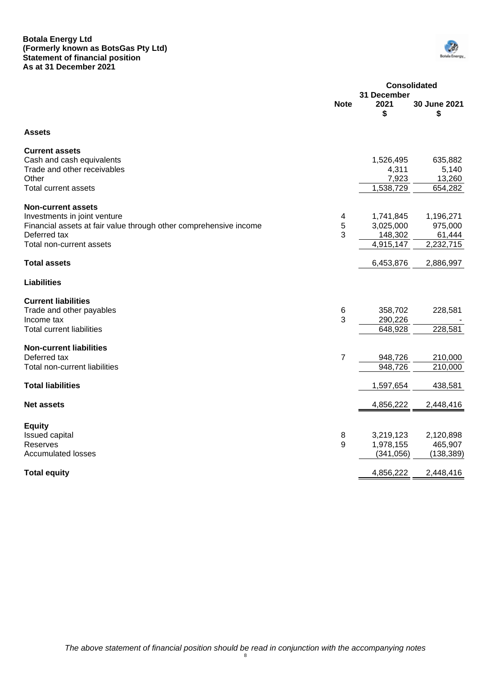#### **Botala Energy Ltd (Formerly known as BotsGas Pty Ltd) Statement of financial position As at 31 December 2021**



|                                                                        | <b>Consolidated</b><br>31 December |                    |  |
|------------------------------------------------------------------------|------------------------------------|--------------------|--|
| <b>Note</b>                                                            | 2021<br>\$                         | 30 June 2021<br>\$ |  |
| <b>Assets</b>                                                          |                                    |                    |  |
| <b>Current assets</b>                                                  |                                    |                    |  |
| Cash and cash equivalents                                              | 1,526,495                          | 635,882            |  |
| Trade and other receivables<br>Other                                   | 4,311<br>7,923                     | 5,140<br>13,260    |  |
| Total current assets                                                   | 1,538,729                          | 654,282            |  |
|                                                                        |                                    |                    |  |
| <b>Non-current assets</b>                                              |                                    |                    |  |
| Investments in joint venture<br>4                                      | 1,741,845                          | 1,196,271          |  |
| 5<br>Financial assets at fair value through other comprehensive income | 3,025,000                          | 975,000            |  |
| 3<br>Deferred tax                                                      | 148,302                            | 61,444             |  |
| Total non-current assets                                               | 4,915,147                          | 2,232,715          |  |
| <b>Total assets</b>                                                    | 6,453,876                          | 2,886,997          |  |
| <b>Liabilities</b>                                                     |                                    |                    |  |
| <b>Current liabilities</b>                                             |                                    |                    |  |
| Trade and other payables<br>6                                          | 358,702                            | 228,581            |  |
| 3<br>Income tax                                                        | 290,226                            |                    |  |
| <b>Total current liabilities</b>                                       | 648,928                            | 228,581            |  |
| <b>Non-current liabilities</b>                                         |                                    |                    |  |
| Deferred tax<br>7                                                      | 948,726                            | 210,000            |  |
| Total non-current liabilities                                          | 948,726                            | 210,000            |  |
|                                                                        |                                    |                    |  |
| <b>Total liabilities</b>                                               | 1,597,654                          | 438,581            |  |
| <b>Net assets</b>                                                      | 4,856,222                          | 2,448,416          |  |
| <b>Equity</b>                                                          |                                    |                    |  |
| <b>Issued capital</b><br>8                                             | 3,219,123                          | 2,120,898          |  |
| 9<br>Reserves                                                          | 1,978,155                          | 465,907            |  |
| <b>Accumulated losses</b>                                              | (341, 056)                         | (138, 389)         |  |
| <b>Total equity</b>                                                    | 4,856,222                          | 2,448,416          |  |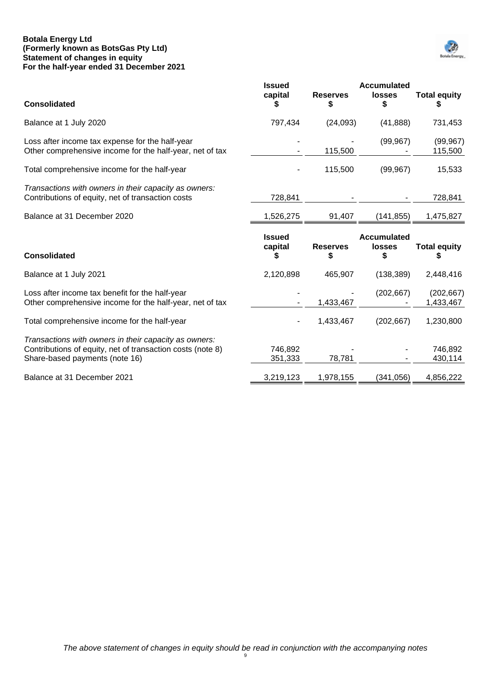#### **Botala Energy Ltd (Formerly known as BotsGas Pty Ltd) Statement of changes in equity For the half-year ended 31 December 2021**



| <b>Consolidated</b>                                                                                                                                   | <b>Issued</b><br>capital | <b>Reserves</b><br>S | <b>Accumulated</b><br><b>losses</b><br>\$ | <b>Total equity</b><br>P |
|-------------------------------------------------------------------------------------------------------------------------------------------------------|--------------------------|----------------------|-------------------------------------------|--------------------------|
| Balance at 1 July 2020                                                                                                                                | 797,434                  | (24,093)             | (41, 888)                                 | 731,453                  |
| Loss after income tax expense for the half-year<br>Other comprehensive income for the half-year, net of tax                                           |                          | 115,500              | (99, 967)                                 | (99, 967)<br>115,500     |
| Total comprehensive income for the half-year                                                                                                          |                          | 115,500              | (99, 967)                                 | 15,533                   |
| Transactions with owners in their capacity as owners:<br>Contributions of equity, net of transaction costs                                            | 728,841                  |                      |                                           | 728,841                  |
| Balance at 31 December 2020                                                                                                                           | 1,526,275                | 91,407               | (141, 855)                                | 1,475,827                |
| <b>Consolidated</b>                                                                                                                                   | <b>Issued</b><br>capital | <b>Reserves</b>      | <b>Accumulated</b><br><b>losses</b>       | <b>Total equity</b><br>5 |
|                                                                                                                                                       |                          |                      |                                           |                          |
| Balance at 1 July 2021                                                                                                                                | 2,120,898                | 465,907              | (138, 389)                                | 2,448,416                |
| Loss after income tax benefit for the half-year<br>Other comprehensive income for the half-year, net of tax                                           |                          | 1,433,467            | (202, 667)                                | (202, 667)<br>1,433,467  |
| Total comprehensive income for the half-year                                                                                                          |                          | 1,433,467            | (202, 667)                                | 1,230,800                |
| Transactions with owners in their capacity as owners:<br>Contributions of equity, net of transaction costs (note 8)<br>Share-based payments (note 16) | 746,892<br>351,333       | 78,781               |                                           | 746,892<br>430,114       |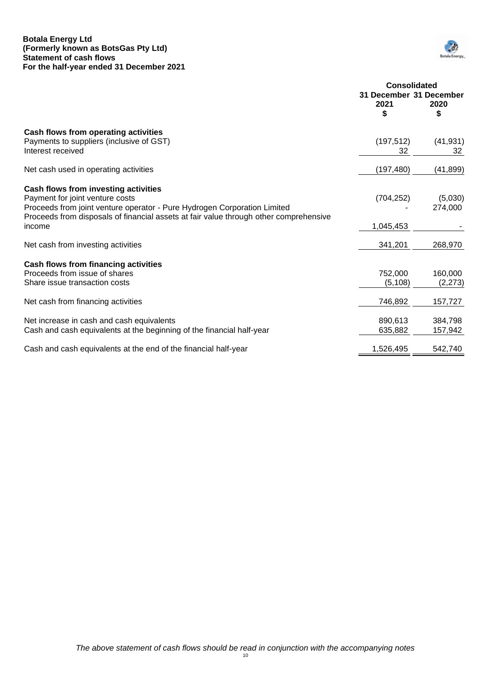#### **Botala Energy Ltd (Formerly known as BotsGas Pty Ltd) Statement of cash flows For the half-year ended 31 December 2021**



|                                                                                                                                                                                                                                                        | <b>Consolidated</b><br>31 December 31 December<br>2021<br>2020<br>\$<br>S |                     |
|--------------------------------------------------------------------------------------------------------------------------------------------------------------------------------------------------------------------------------------------------------|---------------------------------------------------------------------------|---------------------|
| Cash flows from operating activities<br>Payments to suppliers (inclusive of GST)<br>Interest received                                                                                                                                                  | (197, 512)<br>32                                                          | (41, 931)<br>32     |
| Net cash used in operating activities                                                                                                                                                                                                                  | (197, 480)                                                                | (41, 899)           |
| Cash flows from investing activities<br>Payment for joint venture costs<br>Proceeds from joint venture operator - Pure Hydrogen Corporation Limited<br>Proceeds from disposals of financial assets at fair value through other comprehensive<br>income | (704, 252)<br>1,045,453                                                   | (5,030)<br>274,000  |
| Net cash from investing activities                                                                                                                                                                                                                     | 341,201                                                                   | 268,970             |
| Cash flows from financing activities<br>Proceeds from issue of shares<br>Share issue transaction costs                                                                                                                                                 | 752,000<br>(5, 108)                                                       | 160,000<br>(2, 273) |
| Net cash from financing activities                                                                                                                                                                                                                     | 746,892                                                                   | 157,727             |
| Net increase in cash and cash equivalents<br>Cash and cash equivalents at the beginning of the financial half-year                                                                                                                                     | 890,613<br>635,882                                                        | 384,798<br>157,942  |
| Cash and cash equivalents at the end of the financial half-year                                                                                                                                                                                        | 1,526,495                                                                 | 542,740             |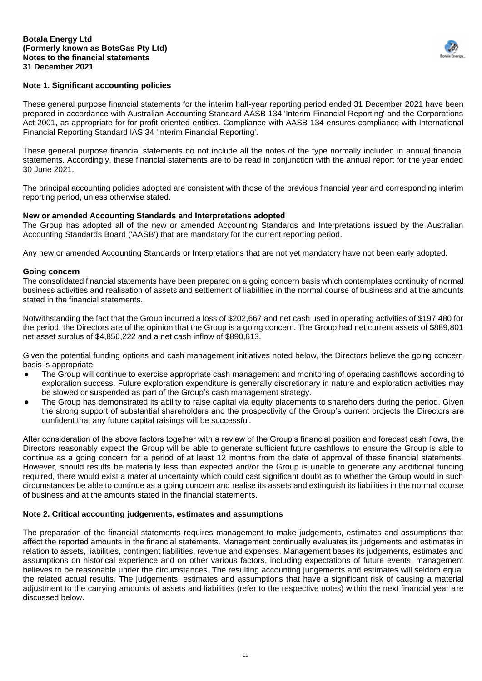

# **Note 1. Significant accounting policies**

These general purpose financial statements for the interim half-year reporting period ended 31 December 2021 have been prepared in accordance with Australian Accounting Standard AASB 134 'Interim Financial Reporting' and the Corporations Act 2001, as appropriate for for-profit oriented entities. Compliance with AASB 134 ensures compliance with International Financial Reporting Standard IAS 34 'Interim Financial Reporting'.

These general purpose financial statements do not include all the notes of the type normally included in annual financial statements. Accordingly, these financial statements are to be read in conjunction with the annual report for the year ended 30 June 2021.

The principal accounting policies adopted are consistent with those of the previous financial year and corresponding interim reporting period, unless otherwise stated.

#### **New or amended Accounting Standards and Interpretations adopted**

The Group has adopted all of the new or amended Accounting Standards and Interpretations issued by the Australian Accounting Standards Board ('AASB') that are mandatory for the current reporting period.

Any new or amended Accounting Standards or Interpretations that are not yet mandatory have not been early adopted.

#### **Going concern**

The consolidated financial statements have been prepared on a going concern basis which contemplates continuity of normal business activities and realisation of assets and settlement of liabilities in the normal course of business and at the amounts stated in the financial statements.

Notwithstanding the fact that the Group incurred a loss of \$202,667 and net cash used in operating activities of \$197,480 for the period, the Directors are of the opinion that the Group is a going concern. The Group had net current assets of \$889,801 net asset surplus of \$4,856,222 and a net cash inflow of \$890,613.

Given the potential funding options and cash management initiatives noted below, the Directors believe the going concern basis is appropriate:

- The Group will continue to exercise appropriate cash management and monitoring of operating cashflows according to exploration success. Future exploration expenditure is generally discretionary in nature and exploration activities may be slowed or suspended as part of the Group's cash management strategy.
- The Group has demonstrated its ability to raise capital via equity placements to shareholders during the period. Given the strong support of substantial shareholders and the prospectivity of the Group's current projects the Directors are confident that any future capital raisings will be successful.

After consideration of the above factors together with a review of the Group's financial position and forecast cash flows, the Directors reasonably expect the Group will be able to generate sufficient future cashflows to ensure the Group is able to continue as a going concern for a period of at least 12 months from the date of approval of these financial statements. However, should results be materially less than expected and/or the Group is unable to generate any additional funding required, there would exist a material uncertainty which could cast significant doubt as to whether the Group would in such circumstances be able to continue as a going concern and realise its assets and extinguish its liabilities in the normal course of business and at the amounts stated in the financial statements.

# **Note 2. Critical accounting judgements, estimates and assumptions**

The preparation of the financial statements requires management to make judgements, estimates and assumptions that affect the reported amounts in the financial statements. Management continually evaluates its judgements and estimates in relation to assets, liabilities, contingent liabilities, revenue and expenses. Management bases its judgements, estimates and assumptions on historical experience and on other various factors, including expectations of future events, management believes to be reasonable under the circumstances. The resulting accounting judgements and estimates will seldom equal the related actual results. The judgements, estimates and assumptions that have a significant risk of causing a material adjustment to the carrying amounts of assets and liabilities (refer to the respective notes) within the next financial year are discussed below.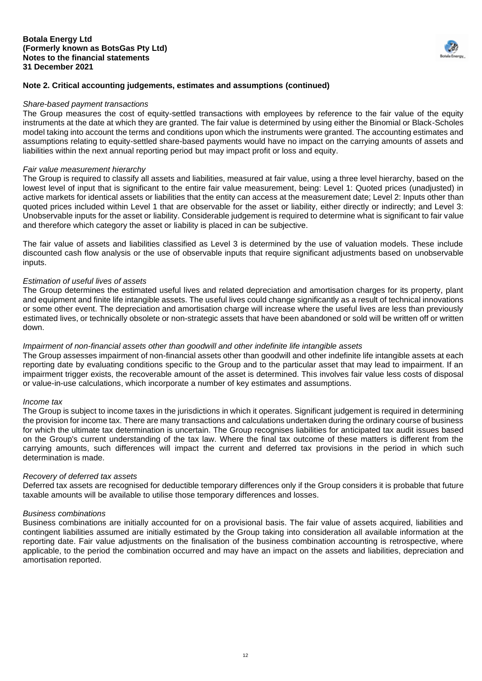#### **Botala Energy Ltd (Formerly known as BotsGas Pty Ltd) Notes to the financial statements 31 December 2021**



# **Note 2. Critical accounting judgements, estimates and assumptions (continued)**

#### *Share-based payment transactions*

The Group measures the cost of equity-settled transactions with employees by reference to the fair value of the equity instruments at the date at which they are granted. The fair value is determined by using either the Binomial or Black-Scholes model taking into account the terms and conditions upon which the instruments were granted. The accounting estimates and assumptions relating to equity-settled share-based payments would have no impact on the carrying amounts of assets and liabilities within the next annual reporting period but may impact profit or loss and equity.

#### *Fair value measurement hierarchy*

The Group is required to classify all assets and liabilities, measured at fair value, using a three level hierarchy, based on the lowest level of input that is significant to the entire fair value measurement, being: Level 1: Quoted prices (unadjusted) in active markets for identical assets or liabilities that the entity can access at the measurement date; Level 2: Inputs other than quoted prices included within Level 1 that are observable for the asset or liability, either directly or indirectly; and Level 3: Unobservable inputs for the asset or liability. Considerable judgement is required to determine what is significant to fair value and therefore which category the asset or liability is placed in can be subjective.

The fair value of assets and liabilities classified as Level 3 is determined by the use of valuation models. These include discounted cash flow analysis or the use of observable inputs that require significant adjustments based on unobservable inputs.

#### *Estimation of useful lives of assets*

The Group determines the estimated useful lives and related depreciation and amortisation charges for its property, plant and equipment and finite life intangible assets. The useful lives could change significantly as a result of technical innovations or some other event. The depreciation and amortisation charge will increase where the useful lives are less than previously estimated lives, or technically obsolete or non-strategic assets that have been abandoned or sold will be written off or written down.

### *Impairment of non-financial assets other than goodwill and other indefinite life intangible assets*

The Group assesses impairment of non-financial assets other than goodwill and other indefinite life intangible assets at each reporting date by evaluating conditions specific to the Group and to the particular asset that may lead to impairment. If an impairment trigger exists, the recoverable amount of the asset is determined. This involves fair value less costs of disposal or value-in-use calculations, which incorporate a number of key estimates and assumptions.

#### *Income tax*

The Group is subject to income taxes in the jurisdictions in which it operates. Significant judgement is required in determining the provision for income tax. There are many transactions and calculations undertaken during the ordinary course of business for which the ultimate tax determination is uncertain. The Group recognises liabilities for anticipated tax audit issues based on the Group's current understanding of the tax law. Where the final tax outcome of these matters is different from the carrying amounts, such differences will impact the current and deferred tax provisions in the period in which such determination is made.

#### *Recovery of deferred tax assets*

Deferred tax assets are recognised for deductible temporary differences only if the Group considers it is probable that future taxable amounts will be available to utilise those temporary differences and losses.

# *Business combinations*

Business combinations are initially accounted for on a provisional basis. The fair value of assets acquired, liabilities and contingent liabilities assumed are initially estimated by the Group taking into consideration all available information at the reporting date. Fair value adjustments on the finalisation of the business combination accounting is retrospective, where applicable, to the period the combination occurred and may have an impact on the assets and liabilities, depreciation and amortisation reported.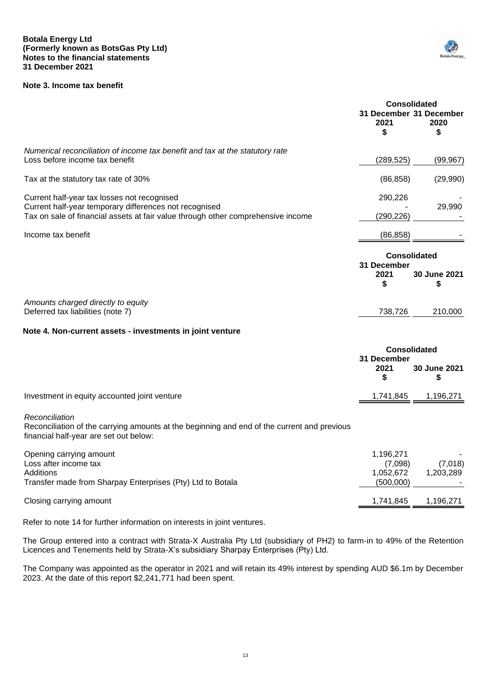# <span id="page-13-0"></span>**Note 3. Income tax benefit**



|                                                                                                                                                                                           | 2021<br>\$                | <b>Consolidated</b><br>31 December 31 December<br>2020<br>S |
|-------------------------------------------------------------------------------------------------------------------------------------------------------------------------------------------|---------------------------|-------------------------------------------------------------|
| Numerical reconciliation of income tax benefit and tax at the statutory rate<br>Loss before income tax benefit                                                                            | (289, 525)                | (99, 967)                                                   |
| Tax at the statutory tax rate of 30%                                                                                                                                                      | (86, 858)                 | (29,990)                                                    |
| Current half-year tax losses not recognised<br>Current half-year temporary differences not recognised<br>Tax on sale of financial assets at fair value through other comprehensive income | 290,226<br>(290, 226)     | 29,990                                                      |
| Income tax benefit                                                                                                                                                                        | (86, 858)                 |                                                             |
|                                                                                                                                                                                           | 31 December<br>2021<br>\$ | <b>Consolidated</b><br>30 June 2021<br>S                    |
| Amounts charged directly to equity<br>Deferred tax liabilities (note 7)                                                                                                                   | 738,726                   | 210,000                                                     |
| Note 4. Non-current assets - investments in joint venture                                                                                                                                 |                           |                                                             |
|                                                                                                                                                                                           | 31 December<br>2021<br>\$ | <b>Consolidated</b><br>30 June 2021                         |
| Investment in equity accounted joint venture                                                                                                                                              | 1,741,845                 | 1,196,271                                                   |
| Reconciliation<br>Reconciliation of the carrying amounts at the beginning and end of the current and previous<br>financial half-year are set out below:                                   |                           |                                                             |

<span id="page-13-1"></span>

| Opening carrying amount                                    | 1,196,271 |             |
|------------------------------------------------------------|-----------|-------------|
| Loss after income tax                                      | (7.098)   | (7.018)     |
| Additions                                                  | 1.052.672 | 1.203.289   |
| Transfer made from Sharpay Enterprises (Pty) Ltd to Botala | (500,000) |             |
| Closing carrying amount                                    | 1.741.845 | i, 196, 271 |

Refer to note 14 for further information on interests in joint ventures.

The Group entered into a contract with Strata-X Australia Pty Ltd (subsidiary of PH2) to farm-in to 49% of the Retention Licences and Tenements held by Strata-X's subsidiary Sharpay Enterprises (Pty) Ltd.

The Company was appointed as the operator in 2021 and will retain its 49% interest by spending AUD \$6.1m by December 2023. At the date of this report \$2,241,771 had been spent.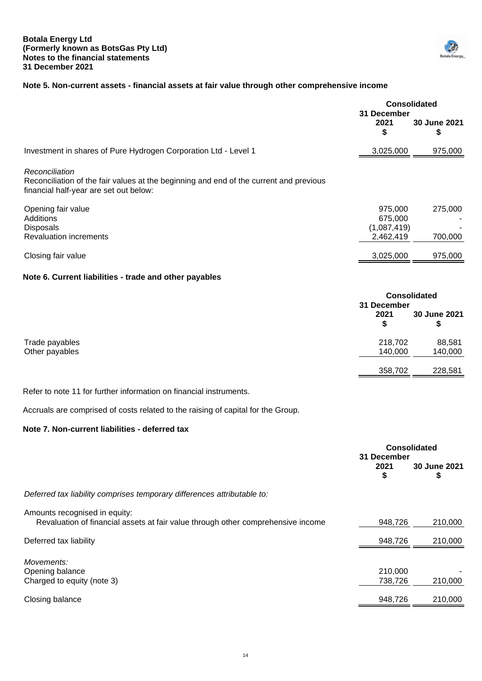

# <span id="page-14-0"></span>**Note 5. Non-current assets - financial assets at fair value through other comprehensive income**

|                                                                                                                                                    | <b>Consolidated</b><br>31 December             |                     |
|----------------------------------------------------------------------------------------------------------------------------------------------------|------------------------------------------------|---------------------|
|                                                                                                                                                    | 2021<br>\$                                     | 30 June 2021<br>\$  |
| Investment in shares of Pure Hydrogen Corporation Ltd - Level 1                                                                                    | 3,025,000                                      | 975,000             |
| Reconciliation<br>Reconciliation of the fair values at the beginning and end of the current and previous<br>financial half-year are set out below: |                                                |                     |
| Opening fair value<br>Additions<br><b>Disposals</b><br><b>Revaluation increments</b>                                                               | 975,000<br>675,000<br>(1,087,419)<br>2,462,419 | 275,000<br>700,000  |
| Closing fair value                                                                                                                                 | 3,025,000                                      | 975,000             |
| Note 6. Current liabilities - trade and other payables                                                                                             |                                                |                     |
|                                                                                                                                                    |                                                | <b>Consolidated</b> |

<span id="page-14-1"></span>

|                |         | 31 December        |  |  |
|----------------|---------|--------------------|--|--|
|                | 2021    | 30 June 2021<br>\$ |  |  |
| Trade payables | 218,702 | 88,581             |  |  |
| Other payables | 140,000 | 140,000            |  |  |
|                | 358,702 | 228,581            |  |  |
|                |         |                    |  |  |

Refer to note 11 for further information on financial instruments.

Accruals are comprised of costs related to the raising of capital for the Group.

# **Note 7. Non-current liabilities - deferred tax**

<span id="page-14-2"></span>

|                                                                                                                   | <b>Consolidated</b><br>31 December |                    |
|-------------------------------------------------------------------------------------------------------------------|------------------------------------|--------------------|
|                                                                                                                   | 2021<br>S                          | 30 June 2021<br>\$ |
| Deferred tax liability comprises temporary differences attributable to:                                           |                                    |                    |
| Amounts recognised in equity:<br>Revaluation of financial assets at fair value through other comprehensive income | 948,726                            | 210,000            |
| Deferred tax liability                                                                                            | 948,726                            | 210,000            |
| Movements:<br>Opening balance<br>Charged to equity (note 3)                                                       | 210,000<br>738,726                 | 210,000            |
| Closing balance                                                                                                   | 948,726                            | 210,000            |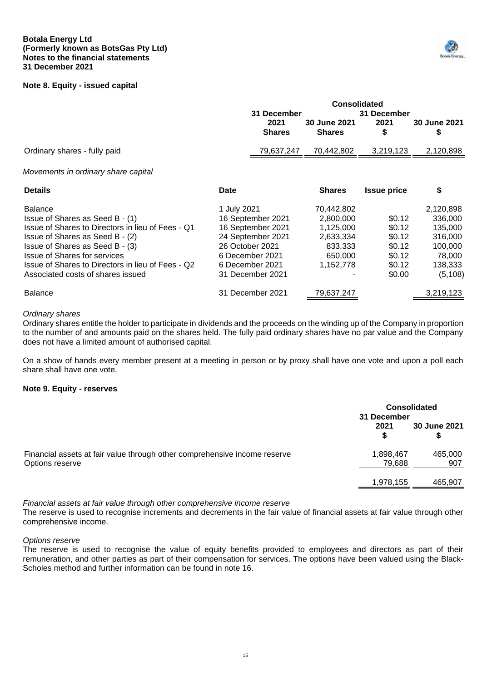#### **Botala Energy Ltd (Formerly known as BotsGas Pty Ltd) Notes to the financial statements 31 December 2021**

# <span id="page-15-0"></span>**Note 8. Equity - issued capital**



**Consolidated**

|                                                                                                                                                                                                                                                                                                               | 31 December<br>2021<br><b>Shares</b>                                                                                                                    | 30 June 2021<br><b>Shares</b>                                                        | 31 December<br>2021<br>S                                           | 30 June 2021<br>S                                                                      |
|---------------------------------------------------------------------------------------------------------------------------------------------------------------------------------------------------------------------------------------------------------------------------------------------------------------|---------------------------------------------------------------------------------------------------------------------------------------------------------|--------------------------------------------------------------------------------------|--------------------------------------------------------------------|----------------------------------------------------------------------------------------|
| Ordinary shares - fully paid                                                                                                                                                                                                                                                                                  | 79,637,247                                                                                                                                              | 70,442,802                                                                           | 3,219,123                                                          | 2,120,898                                                                              |
| Movements in ordinary share capital                                                                                                                                                                                                                                                                           |                                                                                                                                                         |                                                                                      |                                                                    |                                                                                        |
| <b>Details</b>                                                                                                                                                                                                                                                                                                | Date                                                                                                                                                    | <b>Shares</b>                                                                        | <b>Issue price</b>                                                 | \$                                                                                     |
| <b>Balance</b><br>Issue of Shares as Seed B - (1)<br>Issue of Shares to Directors in lieu of Fees - Q1<br>Issue of Shares as Seed B - (2)<br>Issue of Shares as Seed B - (3)<br><b>Issue of Shares for services</b><br>Issue of Shares to Directors in lieu of Fees - Q2<br>Associated costs of shares issued | 1 July 2021<br>16 September 2021<br>16 September 2021<br>24 September 2021<br>26 October 2021<br>6 December 2021<br>6 December 2021<br>31 December 2021 | 70,442,802<br>2,800,000<br>1,125,000<br>2,633,334<br>833,333<br>650,000<br>1,152,778 | \$0.12<br>\$0.12<br>\$0.12<br>\$0.12<br>\$0.12<br>\$0.12<br>\$0.00 | 2,120,898<br>336,000<br>135,000<br>316,000<br>100,000<br>78,000<br>138,333<br>(5, 108) |
| <b>Balance</b>                                                                                                                                                                                                                                                                                                | 31 December 2021                                                                                                                                        | 79,637,247                                                                           |                                                                    | 3,219,123                                                                              |

# *Ordinary shares*

Ordinary shares entitle the holder to participate in dividends and the proceeds on the winding up of the Company in proportion to the number of and amounts paid on the shares held. The fully paid ordinary shares have no par value and the Company does not have a limited amount of authorised capital.

On a show of hands every member present at a meeting in person or by proxy shall have one vote and upon a poll each share shall have one vote.

#### **Note 9. Equity - reserves**

<span id="page-15-1"></span>

|                                                                                              | <b>Consolidated</b><br>31 December |                |
|----------------------------------------------------------------------------------------------|------------------------------------|----------------|
|                                                                                              | 2021                               | 30 June 2021   |
| Financial assets at fair value through other comprehensive income reserve<br>Options reserve | 1,898,467<br>79,688                | 465,000<br>907 |
|                                                                                              | 1,978,155                          | 465,907        |

*Financial assets at fair value through other comprehensive income reserve*

The reserve is used to recognise increments and decrements in the fair value of financial assets at fair value through other comprehensive income.

# *Options reserve*

The reserve is used to recognise the value of equity benefits provided to employees and directors as part of their remuneration, and other parties as part of their compensation for services. The options have been valued using the Black-Scholes method and further information can be found in note 16.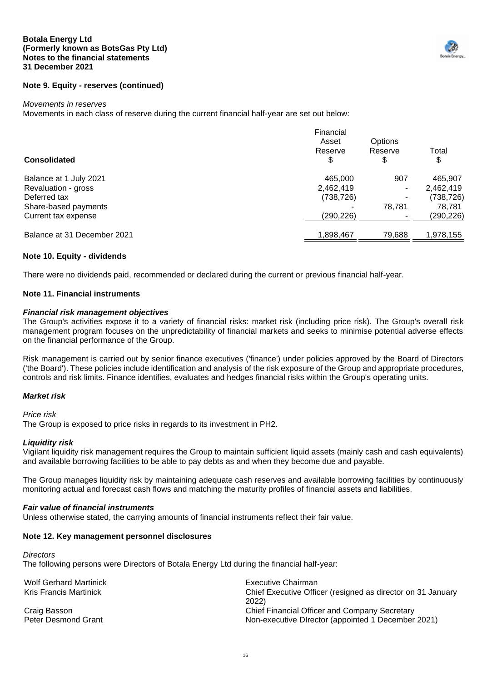#### **Botala Energy Ltd (Formerly known as BotsGas Pty Ltd) Notes to the financial statements 31 December 2021**



#### *Movements in reserves*

Movements in each class of reserve during the current financial half-year are set out below:

|                             | Financial<br>Asset<br>Reserve | Options<br>Reserve | Total      |
|-----------------------------|-------------------------------|--------------------|------------|
| <b>Consolidated</b>         | \$                            | \$                 | \$         |
| Balance at 1 July 2021      | 465,000                       | 907                | 465,907    |
| Revaluation - gross         | 2,462,419                     |                    | 2,462,419  |
| Deferred tax                | (738, 726)                    |                    | (738, 726) |
| Share-based payments        |                               | 78.781             | 78.781     |
| Current tax expense         | (290,226)                     |                    | (290,226)  |
| Balance at 31 December 2021 | 1,898,467                     | 79.688             | 1.978.155  |

#### **Note 10. Equity - dividends**

There were no dividends paid, recommended or declared during the current or previous financial half-year.

#### **Note 11. Financial instruments**

#### *Financial risk management objectives*

The Group's activities expose it to a variety of financial risks: market risk (including price risk). The Group's overall risk management program focuses on the unpredictability of financial markets and seeks to minimise potential adverse effects on the financial performance of the Group.

Risk management is carried out by senior finance executives ('finance') under policies approved by the Board of Directors ('the Board'). These policies include identification and analysis of the risk exposure of the Group and appropriate procedures, controls and risk limits. Finance identifies, evaluates and hedges financial risks within the Group's operating units.

# *Market risk*

*Price risk*

The Group is exposed to price risks in regards to its investment in PH2.

# *Liquidity risk*

Vigilant liquidity risk management requires the Group to maintain sufficient liquid assets (mainly cash and cash equivalents) and available borrowing facilities to be able to pay debts as and when they become due and payable.

The Group manages liquidity risk by maintaining adequate cash reserves and available borrowing facilities by continuously monitoring actual and forecast cash flows and matching the maturity profiles of financial assets and liabilities.

### *Fair value of financial instruments*

Unless otherwise stated, the carrying amounts of financial instruments reflect their fair value.

#### **Note 12. Key management personnel disclosures**

#### *Directors*

The following persons were Directors of Botala Energy Ltd during the financial half-year:

| <b>Wolf Gerhard Martinick</b><br>Kris Francis Martinick | Executive Chairman<br>Chief Executive Officer (resigned as director on 31 January<br>2022) |
|---------------------------------------------------------|--------------------------------------------------------------------------------------------|
| Craig Basson                                            | Chief Financial Officer and Company Secretary                                              |
| <b>Peter Desmond Grant</b>                              | Non-executive Director (appointed 1 December 2021)                                         |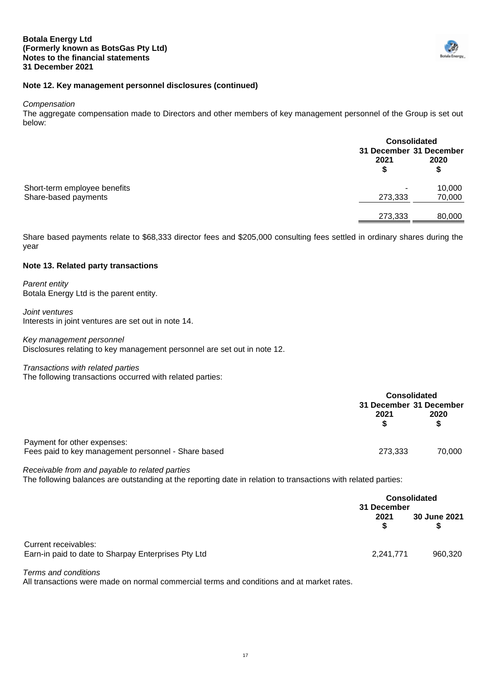

# **Note 12. Key management personnel disclosures (continued)**

*Compensation*

The aggregate compensation made to Directors and other members of key management personnel of the Group is set out below:

|                              |                         | <b>Consolidated</b> |  |
|------------------------------|-------------------------|---------------------|--|
|                              | 31 December 31 December |                     |  |
|                              | 2021                    | 2020                |  |
|                              |                         | \$                  |  |
| Short-term employee benefits |                         | 10,000              |  |
| Share-based payments         | 273,333                 | 70,000              |  |
|                              | 273,333                 | 80,000              |  |

Share based payments relate to \$68,333 director fees and \$205,000 consulting fees settled in ordinary shares during the year

#### **Note 13. Related party transactions**

*Parent entity* Botala Energy Ltd is the parent entity.

*Joint ventures* Interests in joint ventures are set out in note 14.

*Key management personnel* Disclosures relating to key management personnel are set out in note 12.

#### *Transactions with related parties*

The following transactions occurred with related parties:

|                                                                                    |         | <b>Consolidated</b><br>31 December 31 December |  |
|------------------------------------------------------------------------------------|---------|------------------------------------------------|--|
|                                                                                    | 2021    | 2020                                           |  |
| Payment for other expenses:<br>Fees paid to key management personnel - Share based | 273,333 | 70.000                                         |  |

*Receivable from and payable to related parties*

The following balances are outstanding at the reporting date in relation to transactions with related parties:

|                                                                             | <b>Consolidated</b><br>31 December |                     |
|-----------------------------------------------------------------------------|------------------------------------|---------------------|
|                                                                             | 2021                               | <b>30 June 2021</b> |
| Current receivables:<br>Earn-in paid to date to Sharpay Enterprises Pty Ltd | 2,241,771                          | 960,320             |

*Terms and conditions*

All transactions were made on normal commercial terms and conditions and at market rates.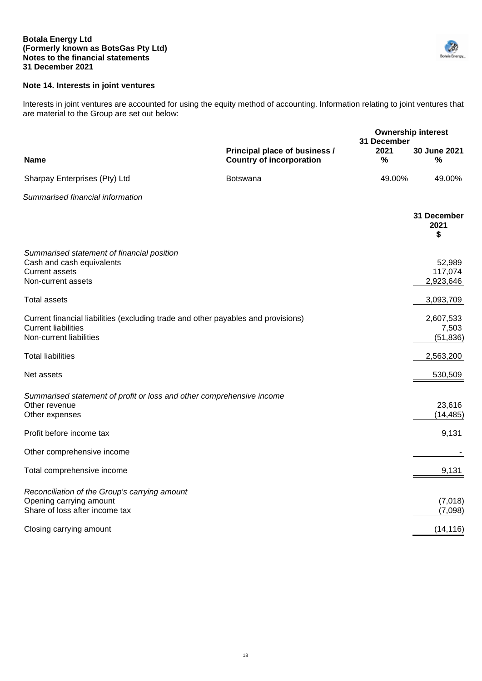#### **Botala Energy Ltd (Formerly known as BotsGas Pty Ltd) Notes to the financial statements 31 December 2021**



# **Note 14. Interests in joint ventures**

Interests in joint ventures are accounted for using the equity method of accounting. Information relating to joint ventures that are material to the Group are set out below:

|                                                                                                                                            |                                                                  |                             | <b>Ownership interest</b>       |
|--------------------------------------------------------------------------------------------------------------------------------------------|------------------------------------------------------------------|-----------------------------|---------------------------------|
| <b>Name</b>                                                                                                                                | Principal place of business /<br><b>Country of incorporation</b> | 31 December<br>2021<br>$\%$ | 30 June 2021<br>$\%$            |
| Sharpay Enterprises (Pty) Ltd                                                                                                              | <b>Botswana</b>                                                  | 49.00%                      | 49.00%                          |
| Summarised financial information                                                                                                           |                                                                  |                             |                                 |
|                                                                                                                                            |                                                                  |                             | 31 December<br>2021<br>\$       |
| Summarised statement of financial position<br>Cash and cash equivalents<br><b>Current assets</b><br>Non-current assets                     |                                                                  |                             | 52,989<br>117,074<br>2,923,646  |
| <b>Total assets</b>                                                                                                                        |                                                                  |                             | 3,093,709                       |
| Current financial liabilities (excluding trade and other payables and provisions)<br><b>Current liabilities</b><br>Non-current liabilities |                                                                  |                             | 2,607,533<br>7,503<br>(51, 836) |
| <b>Total liabilities</b>                                                                                                                   |                                                                  |                             | 2,563,200                       |
| Net assets                                                                                                                                 |                                                                  |                             | 530,509                         |
| Summarised statement of profit or loss and other comprehensive income<br>Other revenue<br>Other expenses                                   |                                                                  |                             | 23,616<br>(14, 485)             |
| Profit before income tax                                                                                                                   |                                                                  |                             | 9,131                           |
| Other comprehensive income                                                                                                                 |                                                                  |                             |                                 |
| Total comprehensive income                                                                                                                 |                                                                  |                             | 9,131                           |
| Reconciliation of the Group's carrying amount<br>Opening carrying amount<br>Share of loss after income tax                                 |                                                                  |                             | (7,018)<br>(7,098)              |
| Closing carrying amount                                                                                                                    |                                                                  |                             | (14, 116)                       |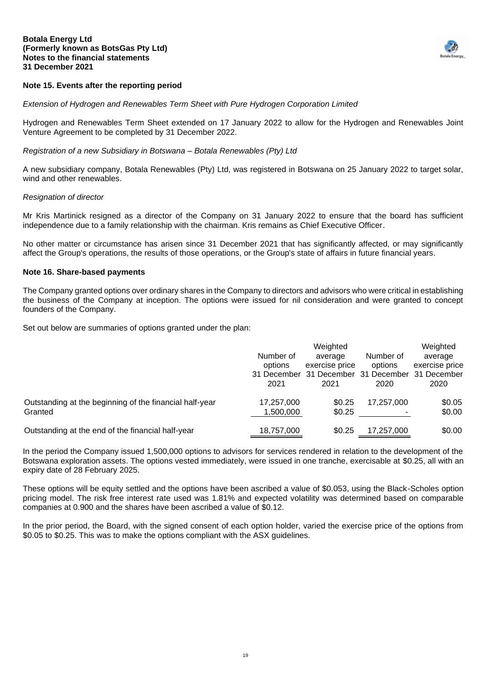

# **Note 15. Events after the reporting period**

*Extension of Hydrogen and Renewables Term Sheet with Pure Hydrogen Corporation Limited*

Hydrogen and Renewables Term Sheet extended on 17 January 2022 to allow for the Hydrogen and Renewables Joint Venture Agreement to be completed by 31 December 2022.

#### *Registration of a new Subsidiary in Botswana – Botala Renewables (Pty) Ltd*

A new subsidiary company, Botala Renewables (Pty) Ltd, was registered in Botswana on 25 January 2022 to target solar, wind and other renewables.

#### *Resignation of director*

Mr Kris Martinick resigned as a director of the Company on 31 January 2022 to ensure that the board has sufficient independence due to a family relationship with the chairman. Kris remains as Chief Executive Officer.

No other matter or circumstance has arisen since 31 December 2021 that has significantly affected, or may significantly affect the Group's operations, the results of those operations, or the Group's state of affairs in future financial years.

#### **Note 16. Share-based payments**

The Company granted options over ordinary shares in the Company to directors and advisors who were critical in establishing the business of the Company at inception. The options were issued for nil consideration and were granted to concept founders of the Company.

Set out below are summaries of options granted under the plan:

|                                                                    | Number of<br>options<br>31 December<br>2021 | Weighted<br>average<br>exercise price<br>31 December 31 December<br>2021 | Number of<br>options<br>2020 | Weighted<br>average<br>exercise price<br>31 December<br>2020 |
|--------------------------------------------------------------------|---------------------------------------------|--------------------------------------------------------------------------|------------------------------|--------------------------------------------------------------|
| Outstanding at the beginning of the financial half-year<br>Granted | 17,257,000<br>1,500,000                     | \$0.25<br>\$0.25                                                         | 17,257,000                   | \$0.05<br>\$0.00                                             |
| Outstanding at the end of the financial half-year                  | 18,757,000                                  | \$0.25                                                                   | 17.257.000                   | \$0.00                                                       |

In the period the Company issued 1,500,000 options to advisors for services rendered in relation to the development of the Botswana exploration assets. The options vested immediately, were issued in one tranche, exercisable at \$0.25, all with an expiry date of 28 February 2025.

These options will be equity settled and the options have been ascribed a value of \$0.053, using the Black-Scholes option pricing model. The risk free interest rate used was 1.81% and expected volatility was determined based on comparable companies at 0.900 and the shares have been ascribed a value of \$0.12.

In the prior period, the Board, with the signed consent of each option holder, varied the exercise price of the options from \$0.05 to \$0.25. This was to make the options compliant with the ASX guidelines.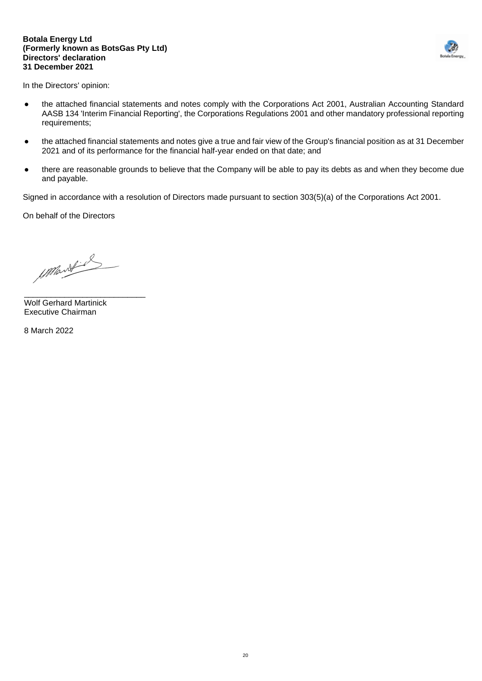#### **Botala Energy Ltd (Formerly known as BotsGas Pty Ltd) Directors' declaration 31 December 2021**



In the Directors' opinion:

- the attached financial statements and notes comply with the Corporations Act 2001, Australian Accounting Standard AASB 134 'Interim Financial Reporting', the Corporations Regulations 2001 and other mandatory professional reporting requirements;
- the attached financial statements and notes give a true and fair view of the Group's financial position as at 31 December 2021 and of its performance for the financial half-year ended on that date; and
- there are reasonable grounds to believe that the Company will be able to pay its debts as and when they become due and payable.

Signed in accordance with a resolution of Directors made pursuant to section 303(5)(a) of the Corporations Act 2001.

On behalf of the Directors

1 Mart 2

\_\_\_\_\_\_\_\_\_\_\_\_\_\_\_\_\_\_\_\_\_\_\_\_\_\_\_ Wolf Gerhard Martinick Executive Chairman

8 March 2022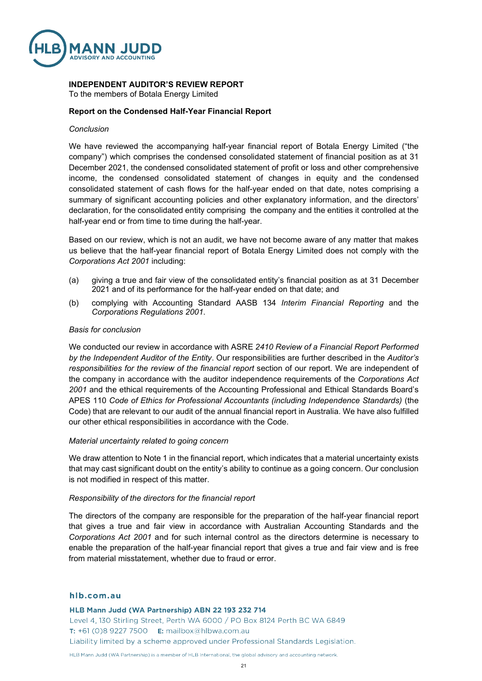

# **INDEPENDENT AUDITOR'S REVIEW REPORT**

To the members of Botala Energy Limited

# **Report on the Condensed Half-Year Financial Report**

#### *Conclusion*

We have reviewed the accompanying half-year financial report of Botala Energy Limited ("the company") which comprises the condensed consolidated statement of financial position as at 31 December 2021, the condensed consolidated statement of profit or loss and other comprehensive income, the condensed consolidated statement of changes in equity and the condensed consolidated statement of cash flows for the half-year ended on that date, notes comprising a summary of significant accounting policies and other explanatory information, and the directors' declaration, for the consolidated entity comprising the company and the entities it controlled at the half-year end or from time to time during the half-year.

Based on our review, which is not an audit, we have not become aware of any matter that makes us believe that the half-year financial report of Botala Energy Limited does not comply with the *Corporations Act 2001* including:

- (a) giving a true and fair view of the consolidated entity's financial position as at 31 December 2021 and of its performance for the half-year ended on that date; and
- (b) complying with Accounting Standard AASB 134 *Interim Financial Reporting* and the *Corporations Regulations 2001*.

#### *Basis for conclusion*

We conducted our review in accordance with ASRE *2410 Review of a Financial Report Performed by the Independent Auditor of the Entity*. Our responsibilities are further described in the *Auditor's responsibilities for the review of the financial report* section of our report. We are independent of the company in accordance with the auditor independence requirements of the *Corporations Act 2001* and the ethical requirements of the Accounting Professional and Ethical Standards Board's APES 110 *Code of Ethics for Professional Accountants (including Independence Standards)* (the Code) that are relevant to our audit of the annual financial report in Australia. We have also fulfilled our other ethical responsibilities in accordance with the Code.

#### *Material uncertainty related to going concern*

We draw attention to Note 1 in the financial report, which indicates that a material uncertainty exists that may cast significant doubt on the entity's ability to continue as a going concern. Our conclusion is not modified in respect of this matter.

#### *Responsibility of the directors for the financial report*

The directors of the company are responsible for the preparation of the half-year financial report that gives a true and fair view in accordance with Australian Accounting Standards and the *Corporations Act 2001* and for such internal control as the directors determine is necessary to enable the preparation of the half-year financial report that gives a true and fair view and is free from material misstatement, whether due to fraud or error.

#### hlb.com.au

HLB Mann Judd (WA Partnership) ABN 22 193 232 714

Level 4, 130 Stirling Street, Perth WA 6000 / PO Box 8124 Perth BC WA 6849 T: +61 (0)8 9227 7500 E: mailbox@hlbwa.com.au Liability limited by a scheme approved under Professional Standards Legislation.

HLB Mann Judd (WA Partnership) is a member of HLB International the global advisory and accounting network